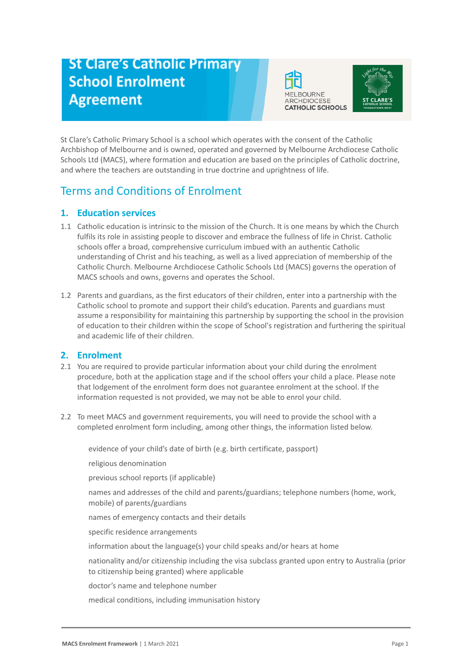# **St Clare's Catholic Primary School Enrolment Agreement**





St Clare's Catholic Primary School is a school which operates with the consent of the Catholic Archbishop of Melbourne and is owned, operated and governed by Melbourne Archdiocese Catholic Schools Ltd (MACS), where formation and education are based on the principles of Catholic doctrine, and where the teachers are outstanding in true doctrine and uprightness of life.

# Terms and Conditions of Enrolment

# **1. Education services**

- 1.1 Catholic education is intrinsic to the mission of the Church. It is one means by which the Church fulfils its role in assisting people to discover and embrace the fullness of life in Christ. Catholic schools offer a broad, comprehensive curriculum imbued with an authentic Catholic understanding of Christ and his teaching, as well as a lived appreciation of membership of the Catholic Church. Melbourne Archdiocese Catholic Schools Ltd (MACS) governs the operation of MACS schools and owns, governs and operates the School.
- 1.2 Parents and guardians, as the first educators of their children, enter into a partnership with the Catholic school to promote and support their child's education. Parents and guardians must assume a responsibility for maintaining this partnership by supporting the school in the provision of education to their children within the scope of School's registration and furthering the spiritual and academic life of their children.

# **2. Enrolment**

- 2.1 You are required to provide particular information about your child during the enrolment procedure, both at the application stage and if the school offers your child a place. Please note that lodgement of the enrolment form does not guarantee enrolment at the school. If the information requested is not provided, we may not be able to enrol your child.
- 2.2 To meet MACS and government requirements, you will need to provide the school with a completed enrolment form including, among other things, the information listed below.

evidence of your child's date of birth (e.g. birth certificate, passport)

religious denomination

previous school reports (if applicable)

names and addresses of the child and parents/guardians; telephone numbers (home, work, mobile) of parents/guardians

names of emergency contacts and their details

specific residence arrangements

information about the language(s) your child speaks and/or hears at home

nationality and/or citizenship including the visa subclass granted upon entry to Australia (prior to citizenship being granted) where applicable

doctor's name and telephone number

medical conditions, including immunisation history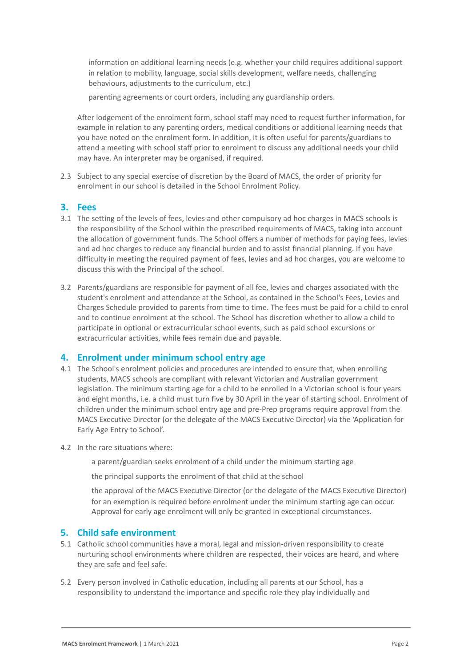information on additional learning needs (e.g. whether your child requires additional support in relation to mobility, language, social skills development, welfare needs, challenging behaviours, adjustments to the curriculum, etc.)

parenting agreements or court orders, including any guardianship orders.

After lodgement of the enrolment form, school staff may need to request further information, for example in relation to any parenting orders, medical conditions or additional learning needs that you have noted on the enrolment form. In addition, it is often useful for parents/guardians to attend a meeting with school staff prior to enrolment to discuss any additional needs your child may have. An interpreter may be organised, if required.

2.3 Subject to any special exercise of discretion by the Board of MACS, the order of priority for enrolment in our school is detailed in the School Enrolment Policy.

#### **3. Fees**

- 3.1 The setting of the levels of fees, levies and other compulsory ad hoc charges in MACS schools is the responsibility of the School within the prescribed requirements of MACS, taking into account the allocation of government funds. The School offers a number of methods for paying fees, levies and ad hoc charges to reduce any financial burden and to assist financial planning. If you have difficulty in meeting the required payment of fees, levies and ad hoc charges, you are welcome to discuss this with the Principal of the school.
- 3.2 Parents/guardians are responsible for payment of all fee, levies and charges associated with the student's enrolment and attendance at the School, as contained in the School's Fees, Levies and Charges Schedule provided to parents from time to time. The fees must be paid for a child to enrol and to continue enrolment at the school. The School has discretion whether to allow a child to participate in optional or extracurricular school events, such as paid school excursions or extracurricular activities, while fees remain due and payable.

#### **4. Enrolment under minimum school entry age**

- 4.1 The School's enrolment policies and procedures are intended to ensure that, when enrolling students, MACS schools are compliant with relevant Victorian and Australian government legislation. The minimum starting age for a child to be enrolled in a Victorian school is four years and eight months, i.e. a child must turn five by 30 April in the year of starting school. Enrolment of children under the minimum school entry age and pre-Prep programs require approval from the MACS Executive Director (or the delegate of the MACS Executive Director) via the 'Application for Early Age Entry to School'.
- 4.2 In the rare situations where:

a parent/guardian seeks enrolment of a child under the minimum starting age

the principal supports the enrolment of that child at the school

the approval of the MACS Executive Director (or the delegate of the MACS Executive Director) for an exemption is required before enrolment under the minimum starting age can occur. Approval for early age enrolment will only be granted in exceptional circumstances.

#### **5. Child safe environment**

- 5.1 Catholic school communities have a moral, legal and mission-driven responsibility to create nurturing school environments where children are respected, their voices are heard, and where they are safe and feel safe.
- 5.2 Every person involved in Catholic education, including all parents at our School, has a responsibility to understand the importance and specific role they play individually and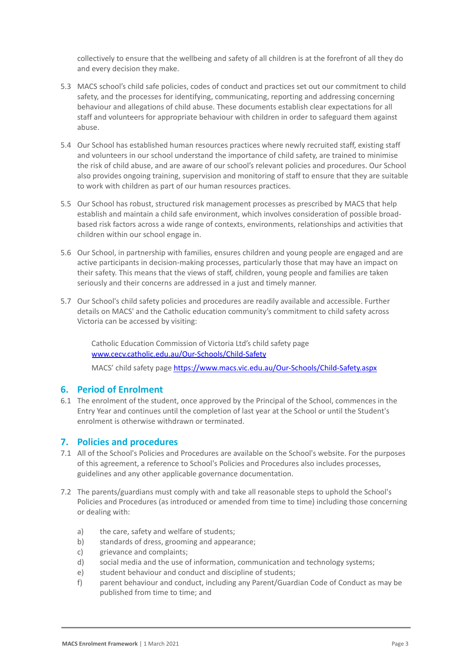collectively to ensure that the wellbeing and safety of all children is at the forefront of all they do and every decision they make.

- 5.3 MACS school's child safe policies, codes of conduct and practices set out our commitment to child safety, and the processes for identifying, communicating, reporting and addressing concerning behaviour and allegations of child abuse. These documents establish clear expectations for all staff and volunteers for appropriate behaviour with children in order to safeguard them against abuse.
- 5.4 Our School has established human resources practices where newly recruited staff, existing staff and volunteers in our school understand the importance of child safety, are trained to minimise the risk of child abuse, and are aware of our school's relevant policies and procedures. Our School also provides ongoing training, supervision and monitoring of staff to ensure that they are suitable to work with children as part of our human resources practices.
- 5.5 Our School has robust, structured risk management processes as prescribed by MACS that help establish and maintain a child safe environment, which involves consideration of possible broadbased risk factors across a wide range of contexts, environments, relationships and activities that children within our school engage in.
- 5.6 Our School, in partnership with families, ensures children and young people are engaged and are active participants in decision-making processes, particularly those that may have an impact on their safety. This means that the views of staff, children, young people and families are taken seriously and their concerns are addressed in a just and timely manner.
- 5.7 Our School's child safety policies and procedures are readily available and accessible. Further details on MACS' and the Catholic education community's commitment to child safety across Victoria can be accessed by visiting:

Catholic Education Commission of Victoria Ltd's child safety page [www.cecv.catholic.edu.au/Our-Schools/Child-Safety](http://www.cecv.catholic.edu.au/Our-Schools/Child-Safety)

MACS' child safety page <https://www.macs.vic.edu.au/Our-Schools/Child-Safety.aspx>

#### **6. Period of Enrolment**

6.1 The enrolment of the student, once approved by the Principal of the School, commences in the Entry Year and continues until the completion of last year at the School or until the Student's enrolment is otherwise withdrawn or terminated.

#### **7. Policies and procedures**

- 7.1 All of the School's Policies and Procedures are available on the School's website. For the purposes of this agreement, a reference to School's Policies and Procedures also includes processes, guidelines and any other applicable governance documentation.
- 7.2 The parents/guardians must comply with and take all reasonable steps to uphold the School's Policies and Procedures (as introduced or amended from time to time) including those concerning or dealing with:
	- a) the care, safety and welfare of students;
	- b) standards of dress, grooming and appearance;
	- c) grievance and complaints;
	- d) social media and the use of information, communication and technology systems;
	- e) student behaviour and conduct and discipline of students;
	- f) parent behaviour and conduct, including any Parent/Guardian Code of Conduct as may be published from time to time; and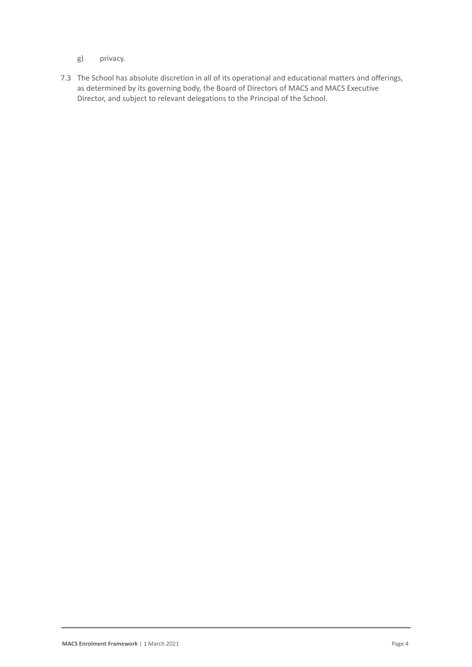- g) privacy.
- 7.3 The School has absolute discretion in all of its operational and educational matters and offerings, as determined by its governing body, the Board of Directors of MACS and MACS Executive Director, and subject to relevant delegations to the Principal of the School.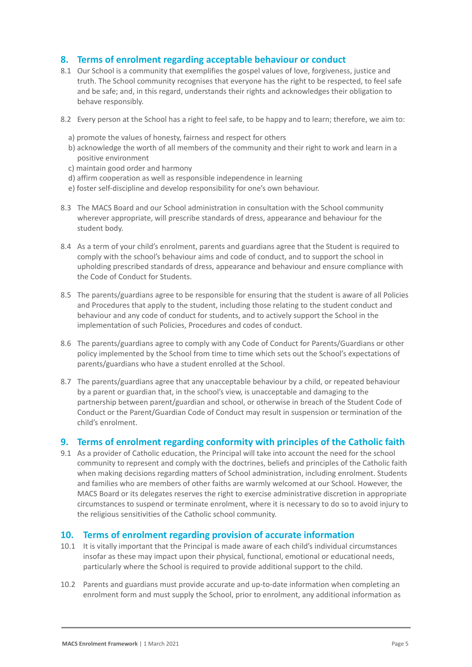#### **8. Terms of enrolment regarding acceptable behaviour or conduct**

- 8.1 Our School is a community that exemplifies the gospel values of love, forgiveness, justice and truth. The School community recognises that everyone has the right to be respected, to feel safe and be safe; and, in this regard, understands their rights and acknowledges their obligation to behave responsibly.
- 8.2 Every person at the School has a right to feel safe, to be happy and to learn; therefore, we aim to:
	- a) promote the values of honesty, fairness and respect for others
	- b) acknowledge the worth of all members of the community and their right to work and learn in a positive environment
	- c) maintain good order and harmony
	- d) affirm cooperation as well as responsible independence in learning
	- e) foster self-discipline and develop responsibility for one's own behaviour.
- 8.3 The MACS Board and our School administration in consultation with the School community wherever appropriate, will prescribe standards of dress, appearance and behaviour for the student body.
- 8.4 As a term of your child's enrolment, parents and guardians agree that the Student is required to comply with the school's behaviour aims and code of conduct, and to support the school in upholding prescribed standards of dress, appearance and behaviour and ensure compliance with the Code of Conduct for Students.
- 8.5 The parents/guardians agree to be responsible for ensuring that the student is aware of all Policies and Procedures that apply to the student, including those relating to the student conduct and behaviour and any code of conduct for students, and to actively support the School in the implementation of such Policies, Procedures and codes of conduct.
- 8.6 The parents/guardians agree to comply with any Code of Conduct for Parents/Guardians or other policy implemented by the School from time to time which sets out the School's expectations of parents/guardians who have a student enrolled at the School.
- 8.7 The parents/guardians agree that any unacceptable behaviour by a child, or repeated behaviour by a parent or guardian that, in the school's view, is unacceptable and damaging to the partnership between parent/guardian and school, or otherwise in breach of the Student Code of Conduct or the Parent/Guardian Code of Conduct may result in suspension or termination of the child's enrolment.

#### **9. Terms of enrolment regarding conformity with principles of the Catholic faith**

9.1 As a provider of Catholic education, the Principal will take into account the need for the school community to represent and comply with the doctrines, beliefs and principles of the Catholic faith when making decisions regarding matters of School administration, including enrolment. Students and families who are members of other faiths are warmly welcomed at our School. However, the MACS Board or its delegates reserves the right to exercise administrative discretion in appropriate circumstances to suspend or terminate enrolment, where it is necessary to do so to avoid injury to the religious sensitivities of the Catholic school community.

#### **10. Terms of enrolment regarding provision of accurate information**

- 10.1 It is vitally important that the Principal is made aware of each child's individual circumstances insofar as these may impact upon their physical, functional, emotional or educational needs, particularly where the School is required to provide additional support to the child.
- 10.2 Parents and guardians must provide accurate and up-to-date information when completing an enrolment form and must supply the School, prior to enrolment, any additional information as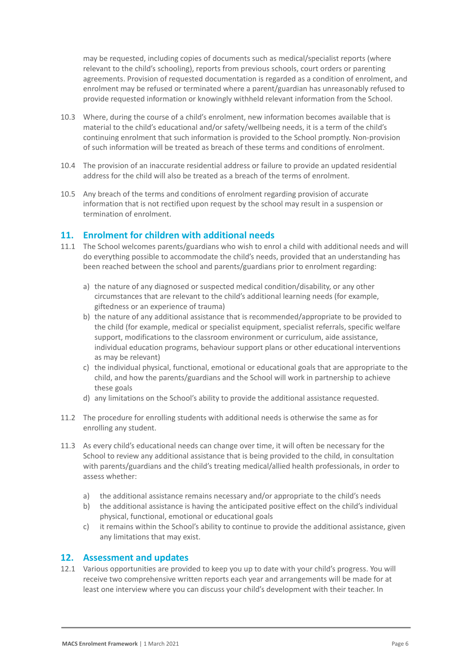may be requested, including copies of documents such as medical/specialist reports (where relevant to the child's schooling), reports from previous schools, court orders or parenting agreements. Provision of requested documentation is regarded as a condition of enrolment, and enrolment may be refused or terminated where a parent/guardian has unreasonably refused to provide requested information or knowingly withheld relevant information from the School.

- 10.3 Where, during the course of a child's enrolment, new information becomes available that is material to the child's educational and/or safety/wellbeing needs, it is a term of the child's continuing enrolment that such information is provided to the School promptly. Non-provision of such information will be treated as breach of these terms and conditions of enrolment.
- 10.4 The provision of an inaccurate residential address or failure to provide an updated residential address for the child will also be treated as a breach of the terms of enrolment.
- 10.5 Any breach of the terms and conditions of enrolment regarding provision of accurate information that is not rectified upon request by the school may result in a suspension or termination of enrolment.

#### **11. Enrolment for children with additional needs**

- 11.1 The School welcomes parents/guardians who wish to enrol a child with additional needs and will do everything possible to accommodate the child's needs, provided that an understanding has been reached between the school and parents/guardians prior to enrolment regarding:
	- a) the nature of any diagnosed or suspected medical condition/disability, or any other circumstances that are relevant to the child's additional learning needs (for example, giftedness or an experience of trauma)
	- b) the nature of any additional assistance that is recommended/appropriate to be provided to the child (for example, medical or specialist equipment, specialist referrals, specific welfare support, modifications to the classroom environment or curriculum, aide assistance, individual education programs, behaviour support plans or other educational interventions as may be relevant)
	- c) the individual physical, functional, emotional or educational goals that are appropriate to the child, and how the parents/guardians and the School will work in partnership to achieve these goals
	- d) any limitations on the School's ability to provide the additional assistance requested.
- 11.2 The procedure for enrolling students with additional needs is otherwise the same as for enrolling any student.
- 11.3 As every child's educational needs can change over time, it will often be necessary for the School to review any additional assistance that is being provided to the child, in consultation with parents/guardians and the child's treating medical/allied health professionals, in order to assess whether:
	- a) the additional assistance remains necessary and/or appropriate to the child's needs
	- b) the additional assistance is having the anticipated positive effect on the child's individual physical, functional, emotional or educational goals
	- c) it remains within the School's ability to continue to provide the additional assistance, given any limitations that may exist.

#### **12. Assessment and updates**

12.1 Various opportunities are provided to keep you up to date with your child's progress. You will receive two comprehensive written reports each year and arrangements will be made for at least one interview where you can discuss your child's development with their teacher. In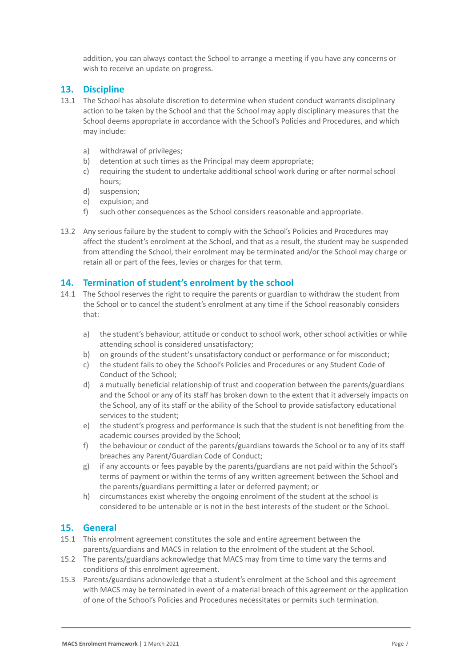addition, you can always contact the School to arrange a meeting if you have any concerns or wish to receive an update on progress.

## **13. Discipline**

- 13.1 The School has absolute discretion to determine when student conduct warrants disciplinary action to be taken by the School and that the School may apply disciplinary measures that the School deems appropriate in accordance with the School's Policies and Procedures, and which may include:
	- a) withdrawal of privileges;
	- b) detention at such times as the Principal may deem appropriate;
	- c) requiring the student to undertake additional school work during or after normal school hours;
	- d) suspension;
	- e) expulsion; and
	- f) such other consequences as the School considers reasonable and appropriate.
- 13.2 Any serious failure by the student to comply with the School's Policies and Procedures may affect the student's enrolment at the School, and that as a result, the student may be suspended from attending the School, their enrolment may be terminated and/or the School may charge or retain all or part of the fees, levies or charges for that term.

### **14. Termination of student's enrolment by the school**

- 14.1 The School reserves the right to require the parents or guardian to withdraw the student from the School or to cancel the student's enrolment at any time if the School reasonably considers that:
	- a) the student's behaviour, attitude or conduct to school work, other school activities or while attending school is considered unsatisfactory;
	- b) on grounds of the student's unsatisfactory conduct or performance or for misconduct;
	- c) the student fails to obey the School's Policies and Procedures or any Student Code of Conduct of the School;
	- d) a mutually beneficial relationship of trust and cooperation between the parents/guardians and the School or any of its staff has broken down to the extent that it adversely impacts on the School, any of its staff or the ability of the School to provide satisfactory educational services to the student;
	- e) the student's progress and performance is such that the student is not benefiting from the academic courses provided by the School;
	- f) the behaviour or conduct of the parents/guardians towards the School or to any of its staff breaches any Parent/Guardian Code of Conduct;
	- g) if any accounts or fees payable by the parents/guardians are not paid within the School's terms of payment or within the terms of any written agreement between the School and the parents/guardians permitting a later or deferred payment; or
	- h) circumstances exist whereby the ongoing enrolment of the student at the school is considered to be untenable or is not in the best interests of the student or the School.

#### **15. General**

- 15.1 This enrolment agreement constitutes the sole and entire agreement between the parents/guardians and MACS in relation to the enrolment of the student at the School.
- 15.2 The parents/guardians acknowledge that MACS may from time to time vary the terms and conditions of this enrolment agreement.
- 15.3 Parents/guardians acknowledge that a student's enrolment at the School and this agreement with MACS may be terminated in event of a material breach of this agreement or the application of one of the School's Policies and Procedures necessitates or permits such termination.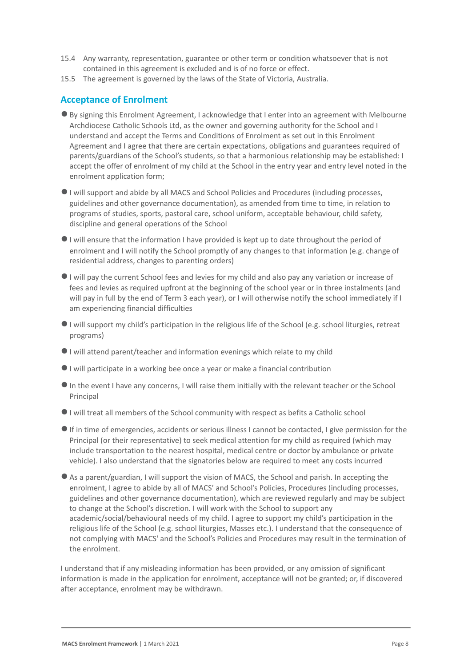- 15.4 Any warranty, representation, guarantee or other term or condition whatsoever that is not contained in this agreement is excluded and is of no force or effect.
- 15.5 The agreement is governed by the laws of the State of Victoria, Australia.

# **Acceptance of Enrolment**

- ●By signing this Enrolment Agreement, I acknowledge that I enter into an agreement with Melbourne Archdiocese Catholic Schools Ltd, as the owner and governing authority for the School and I understand and accept the Terms and Conditions of Enrolment as set out in this Enrolment Agreement and I agree that there are certain expectations, obligations and guarantees required of parents/guardians of the School's students, so that a harmonious relationship may be established: I accept the offer of enrolment of my child at the School in the entry year and entry level noted in the enrolment application form;
- ●I will support and abide by all MACS and School Policies and Procedures (including processes, guidelines and other governance documentation), as amended from time to time, in relation to programs of studies, sports, pastoral care, school uniform, acceptable behaviour, child safety, discipline and general operations of the School
- ●I will ensure that the information I have provided is kept up to date throughout the period of enrolment and I will notify the School promptly of any changes to that information (e.g. change of residential address, changes to parenting orders)
- ●I will pay the current School fees and levies for my child and also pay any variation or increase of fees and levies as required upfront at the beginning of the school year or in three instalments (and will pay in full by the end of Term 3 each year), or I will otherwise notify the school immediately if I am experiencing financial difficulties
- ●I will support my child's participation in the religious life of the School (e.g. school liturgies, retreat programs)
- ●I will attend parent/teacher and information evenings which relate to my child
- ●I will participate in a working bee once a year or make a financial contribution
- ●In the event I have any concerns, I will raise them initially with the relevant teacher or the School Principal
- ●I will treat all members of the School community with respect as befits a Catholic school
- ●If in time of emergencies, accidents or serious illness I cannot be contacted, I give permission for the Principal (or their representative) to seek medical attention for my child as required (which may include transportation to the nearest hospital, medical centre or doctor by ambulance or private vehicle). I also understand that the signatories below are required to meet any costs incurred
- ●As a parent/guardian, I will support the vision of MACS, the School and parish. In accepting the enrolment, I agree to abide by all of MACS' and School's Policies, Procedures (including processes, guidelines and other governance documentation), which are reviewed regularly and may be subject to change at the School's discretion. I will work with the School to support any academic/social/behavioural needs of my child. I agree to support my child's participation in the religious life of the School (e.g. school liturgies, Masses etc.). I understand that the consequence of not complying with MACS' and the School's Policies and Procedures may result in the termination of the enrolment.

I understand that if any misleading information has been provided, or any omission of significant information is made in the application for enrolment, acceptance will not be granted; or, if discovered after acceptance, enrolment may be withdrawn.